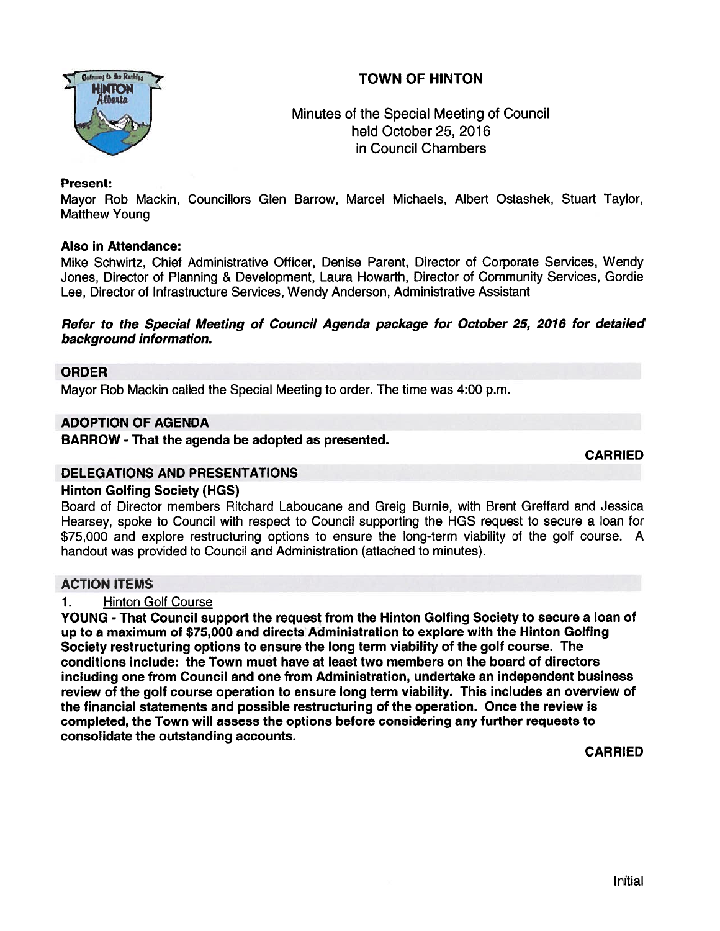# TOWN OF HINTON



## Minutes of the Special Meeting of Council held October 25, 2016 in Council Chambers

## Present:

Mayor Rob Mackin, Councillors Glen Barrow, Marcel Michaels, Albert Ostashek, Stuart Taylor, Matthew Young

### Also in Attendance:

Mike Schwirtz, Chief Administrative Officer, Denise Parent, Director of Corporate Services, Wendy Jones, Director of Planning & Development, Laura Howarth, Director of Community Services, Gordie Lee, Director of Infrastructure Services, Wendy Anderson, Administrative Assistant

### Refer to the Special Meeting of Council Agenda package for October 25, 2016 for detailed background information.

## ORDER

Mayor Rob Mackin called the Special Meeting to order. The time was 4:00 p.m.

### ADOPTION OF AGENDA

BARROW - That the agenda be adopted as presented.

CARRIED

#### DELEGATIONS AND PRESENTATIONS

### Hinton Golfing Society (HGS)

Board of Director members Ritchard Laboucane and Greig Burnie, with Brent Greffard and Jessica Hearsey, spoke to Council with respec<sup>t</sup> to Council supporting the HGS reques<sup>t</sup> to secure <sup>a</sup> loan for \$75,000 and explore restructuring options to ensure the long-term viability of the golf course. A handout was provided to Council and Administration (attached to minutes).

## ACTION ITEMS

## 1. Hinton Golf Course

YOUNG - That Council suppor<sup>t</sup> the reques<sup>t</sup> from the Hinton Golfing Society to secure <sup>a</sup> loan of up to <sup>a</sup> maximum of \$75,000 and directs Administration to explore with the Hinton Golfing Society restructuring options to ensure the long term viability of the golf course. The conditions include: the Town must have at least two members on the board of directors including one from Council and one from Administration, undertake an independent business review of the golf course operation to ensure long term viability. This includes an overview of the financial statements and possible restructuring of the operation. Once the review is completed, the Town will assess the options before considering any further requests to consolidate the outstanding accounts.

CARRIED